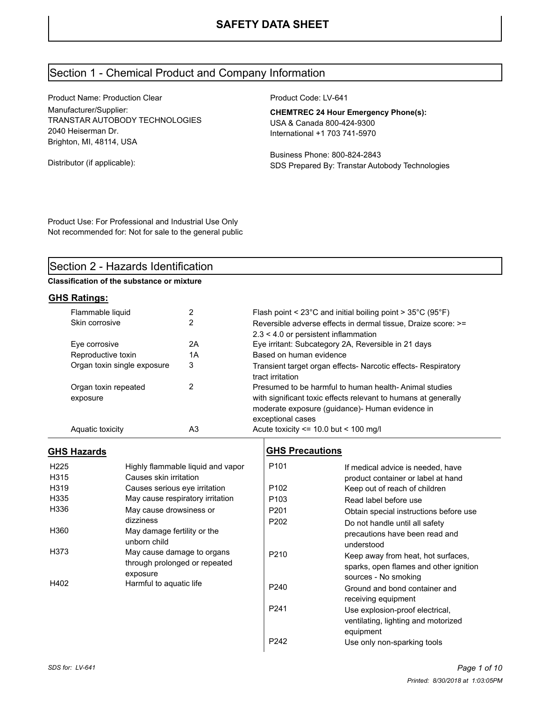# Section 1 - Chemical Product and Company Information

Product Name: Production Clear Manufacturer/Supplier: TRANSTAR AUTOBODY TECHNOLOGIES 2040 Heiserman Dr. Brighton, MI, 48114, USA

Distributor (if applicable):

Product Code: LV-641

**CHEMTREC 24 Hour Emergency Phone(s):** USA & Canada 800-424-9300 International +1 703 741-5970

Business Phone: 800-824-2843 SDS Prepared By: Transtar Autobody Technologies

Product Use: For Professional and Industrial Use Only Not recommended for: Not for sale to the general public

# Section 2 - Hazards Identification

**Classification of the substance or mixture**

### **GHS Ratings:**

| Flammable liquid                 | 2  | Flash point < $23^{\circ}$ C and initial boiling point > $35^{\circ}$ C (95 $^{\circ}$ F)                                                                                                       |
|----------------------------------|----|-------------------------------------------------------------------------------------------------------------------------------------------------------------------------------------------------|
| Skin corrosive                   |    | Reversible adverse effects in dermal tissue. Draize score: >=                                                                                                                                   |
|                                  |    | $2.3 < 4.0$ or persistent inflammation                                                                                                                                                          |
| Eye corrosive                    | 2Α | Eye irritant: Subcategory 2A, Reversible in 21 days                                                                                                                                             |
| Reproductive toxin               | 1А | Based on human evidence                                                                                                                                                                         |
| Organ toxin single exposure      | 3  | Transient target organ effects- Narcotic effects- Respiratory<br>tract irritation                                                                                                               |
| Organ toxin repeated<br>exposure | 2  | Presumed to be harmful to human health-Animal studies<br>with significant toxic effects relevant to humans at generally<br>moderate exposure (guidance)- Human evidence in<br>exceptional cases |
| Aquatic toxicity                 | A3 | Acute toxicity $\le$ 10.0 but $\le$ 100 mg/l                                                                                                                                                    |
|                                  |    |                                                                                                                                                                                                 |

### **GHS Hazards**

| H <sub>225</sub> | Highly flammable liquid and vapor |
|------------------|-----------------------------------|
| H315             | Causes skin irritation            |
| H319             | Causes serious eye irritation     |
| H335             | May cause respiratory irritation  |
| H336             | May cause drowsiness or           |
|                  | dizziness                         |
| H360             | May damage fertility or the       |
|                  | unborn child                      |
| H373             | May cause damage to organs        |
|                  | through prolonged or repeated     |
|                  | exposure                          |
| H402             | Harmful to aquatic life           |
|                  |                                   |

### **GHS Precautions**

| P <sub>101</sub> | If medical advice is needed, have      |
|------------------|----------------------------------------|
|                  | product container or label at hand     |
| P <sub>102</sub> | Keep out of reach of children          |
| P <sub>103</sub> | Read label before use                  |
| P <sub>201</sub> | Obtain special instructions before use |
| P <sub>202</sub> | Do not handle until all safety         |
|                  | precautions have been read and         |
|                  | understood                             |
| P <sub>210</sub> | Keep away from heat, hot surfaces,     |
|                  | sparks, open flames and other ignition |
|                  | sources - No smoking                   |
| P <sub>240</sub> | Ground and bond container and          |
|                  | receiving equipment                    |
| P <sub>241</sub> | Use explosion-proof electrical,        |
|                  | ventilating, lighting and motorized    |
|                  | equipment                              |
| P242             | Use only non-sparking tools            |
|                  |                                        |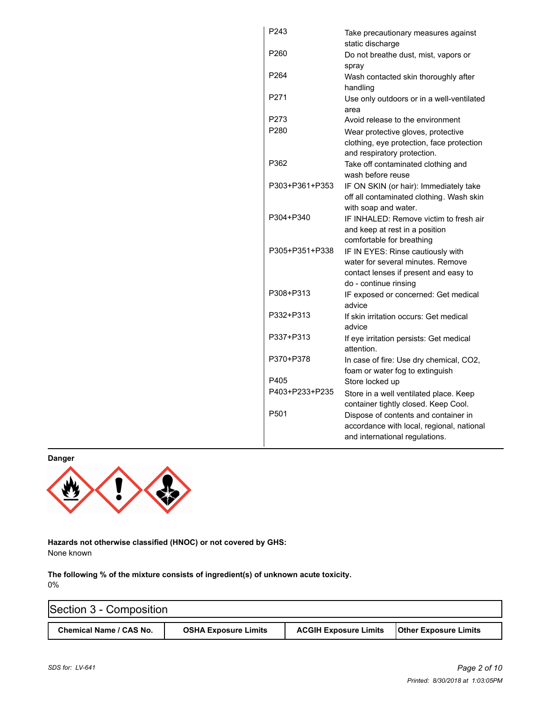| P243             | Take precautionary measures against<br>static discharge |
|------------------|---------------------------------------------------------|
| P <sub>260</sub> | Do not breathe dust, mist, vapors or                    |
|                  | spray                                                   |
| P <sub>264</sub> | Wash contacted skin thoroughly after                    |
|                  | handling                                                |
| P271             | Use only outdoors or in a well-ventilated<br>area       |
| P273             | Avoid release to the environment                        |
| P280             | Wear protective gloves, protective                      |
|                  | clothing, eye protection, face protection               |
|                  | and respiratory protection.                             |
| P362             | Take off contaminated clothing and                      |
|                  | wash before reuse                                       |
| P303+P361+P353   | IF ON SKIN (or hair): Immediately take                  |
|                  | off all contaminated clothing. Wash skin                |
|                  | with soap and water.                                    |
| P304+P340        | IF INHALED: Remove victim to fresh air                  |
|                  | and keep at rest in a position                          |
|                  | comfortable for breathing                               |
| P305+P351+P338   | IF IN EYES: Rinse cautiously with                       |
|                  | water for several minutes. Remove                       |
|                  | contact lenses if present and easy to                   |
|                  | do - continue rinsing                                   |
| P308+P313        | IF exposed or concerned: Get medical                    |
|                  | advice                                                  |
| P332+P313        | If skin irritation occurs: Get medical                  |
|                  | advice                                                  |
| P337+P313        | If eye irritation persists: Get medical                 |
|                  | attention.                                              |
| P370+P378        | In case of fire: Use dry chemical, CO2,                 |
|                  | foam or water fog to extinguish                         |
| P405             | Store locked up                                         |
| P403+P233+P235   | Store in a well ventilated place. Keep                  |
|                  | container tightly closed. Keep Cool.                    |
| P <sub>501</sub> | Dispose of contents and container in                    |
|                  | accordance with local, regional, national               |
|                  | and international regulations.                          |
|                  |                                                         |

**Danger**



**Hazards not otherwise classified (HNOC) or not covered by GHS:** None known

**The following % of the mixture consists of ingredient(s) of unknown acute toxicity.**  0%

| Section 3 - Composition |                             |                              |                              |  |  |  |
|-------------------------|-----------------------------|------------------------------|------------------------------|--|--|--|
| Chemical Name / CAS No. | <b>OSHA Exposure Limits</b> | <b>ACGIH Exposure Limits</b> | <b>Other Exposure Limits</b> |  |  |  |

Î.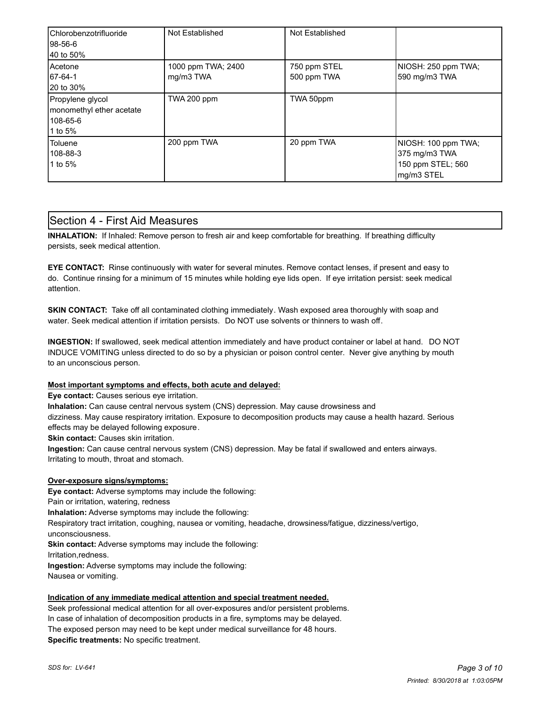| Chlorobenzotrifluoride<br>l98-56-6<br>40 to 50%                     | Not Established                 | Not Established             |                                                                         |
|---------------------------------------------------------------------|---------------------------------|-----------------------------|-------------------------------------------------------------------------|
| Acetone<br>67-64-1<br>20 to 30%                                     | 1000 ppm TWA; 2400<br>mg/m3 TWA | 750 ppm STEL<br>500 ppm TWA | NIOSH: 250 ppm TWA;<br>590 mg/m3 TWA                                    |
| Propylene glycol<br>monomethyl ether acetate<br>108-65-6<br>1 to 5% | TWA 200 ppm                     | TWA 50ppm                   |                                                                         |
| Toluene<br>108-88-3<br>1 to 5%                                      | 200 ppm TWA                     | 20 ppm TWA                  | NIOSH: 100 ppm TWA;<br>375 mg/m3 TWA<br>150 ppm STEL; 560<br>mg/m3 STEL |

### Section 4 - First Aid Measures

**INHALATION:** If Inhaled: Remove person to fresh air and keep comfortable for breathing. If breathing difficulty persists, seek medical attention.

**EYE CONTACT:** Rinse continuously with water for several minutes. Remove contact lenses, if present and easy to do. Continue rinsing for a minimum of 15 minutes while holding eye lids open. If eye irritation persist: seek medical attention.

**SKIN CONTACT:** Take off all contaminated clothing immediately. Wash exposed area thoroughly with soap and water. Seek medical attention if irritation persists. Do NOT use solvents or thinners to wash off.

**INGESTION:** If swallowed, seek medical attention immediately and have product container or label at hand. DO NOT INDUCE VOMITING unless directed to do so by a physician or poison control center. Never give anything by mouth to an unconscious person.

#### **Most important symptoms and effects, both acute and delayed:**

**Eye contact:** Causes serious eye irritation.

**Inhalation:** Can cause central nervous system (CNS) depression. May cause drowsiness and

dizziness. May cause respiratory irritation. Exposure to decomposition products may cause a health hazard. Serious effects may be delayed following exposure.

**Skin contact:** Causes skin irritation.

**Ingestion:** Can cause central nervous system (CNS) depression. May be fatal if swallowed and enters airways. Irritating to mouth, throat and stomach.

#### **Over-exposure signs/symptoms:**

**Eye contact:** Adverse symptoms may include the following:

Pain or irritation, watering, redness

**Inhalation:** Adverse symptoms may include the following:

Respiratory tract irritation, coughing, nausea or vomiting, headache, drowsiness/fatigue, dizziness/vertigo,

unconsciousness.

**Skin contact:** Adverse symptoms may include the following:

Irritation,redness.

**Ingestion:** Adverse symptoms may include the following:

Nausea or vomiting.

#### **Indication of any immediate medical attention and special treatment needed.**

Seek professional medical attention for all over-exposures and/or persistent problems. In case of inhalation of decomposition products in a fire, symptoms may be delayed. The exposed person may need to be kept under medical surveillance for 48 hours. **Specific treatments:** No specific treatment.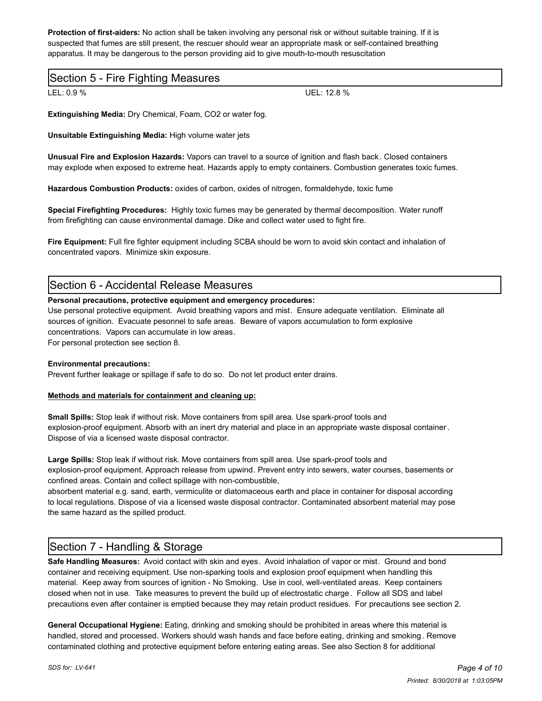**Protection of first-aiders:** No action shall be taken involving any personal risk or without suitable training. If it is suspected that fumes are still present, the rescuer should wear an appropriate mask or self-contained breathing apparatus. It may be dangerous to the person providing aid to give mouth-to-mouth resuscitation

### Section 5 - Fire Fighting Measures

LEL: 0.9 % UEL: 12.8 %

**Extinguishing Media:** Dry Chemical, Foam, CO2 or water fog.

**Unsuitable Extinguishing Media:** High volume water jets

**Unusual Fire and Explosion Hazards:** Vapors can travel to a source of ignition and flash back. Closed containers may explode when exposed to extreme heat. Hazards apply to empty containers. Combustion generates toxic fumes.

**Hazardous Combustion Products:** oxides of carbon, oxides of nitrogen, formaldehyde, toxic fume

**Special Firefighting Procedures:** Highly toxic fumes may be generated by thermal decomposition. Water runoff from firefighting can cause environmental damage. Dike and collect water used to fight fire.

**Fire Equipment:** Full fire fighter equipment including SCBA should be worn to avoid skin contact and inhalation of concentrated vapors. Minimize skin exposure.

### Section 6 - Accidental Release Measures

#### **Personal precautions, protective equipment and emergency procedures:**

Use personal protective equipment. Avoid breathing vapors and mist. Ensure adequate ventilation. Eliminate all sources of ignition. Evacuate pesonnel to safe areas. Beware of vapors accumulation to form explosive concentrations. Vapors can accumulate in low areas.

For personal protection see section 8.

#### **Environmental precautions:**

Prevent further leakage or spillage if safe to do so. Do not let product enter drains.

#### **Methods and materials for containment and cleaning up:**

**Small Spills:** Stop leak if without risk. Move containers from spill area. Use spark-proof tools and explosion-proof equipment. Absorb with an inert dry material and place in an appropriate waste disposal container . Dispose of via a licensed waste disposal contractor.

**Large Spills:** Stop leak if without risk. Move containers from spill area. Use spark-proof tools and explosion-proof equipment. Approach release from upwind. Prevent entry into sewers, water courses, basements or confined areas. Contain and collect spillage with non-combustible,

absorbent material e.g. sand, earth, vermiculite or diatomaceous earth and place in container for disposal according to local regulations. Dispose of via a licensed waste disposal contractor. Contaminated absorbent material may pose the same hazard as the spilled product.

# Section 7 - Handling & Storage

**Safe Handling Measures:** Avoid contact with skin and eyes. Avoid inhalation of vapor or mist. Ground and bond container and receiving equipment. Use non-sparking tools and explosion proof equipment when handling this material. Keep away from sources of ignition - No Smoking. Use in cool, well-ventilated areas. Keep containers closed when not in use. Take measures to prevent the build up of electrostatic charge. Follow all SDS and label precautions even after container is emptied because they may retain product residues. For precautions see section 2.

**General Occupational Hygiene:** Eating, drinking and smoking should be prohibited in areas where this material is handled, stored and processed. Workers should wash hands and face before eating, drinking and smoking . Remove contaminated clothing and protective equipment before entering eating areas. See also Section 8 for additional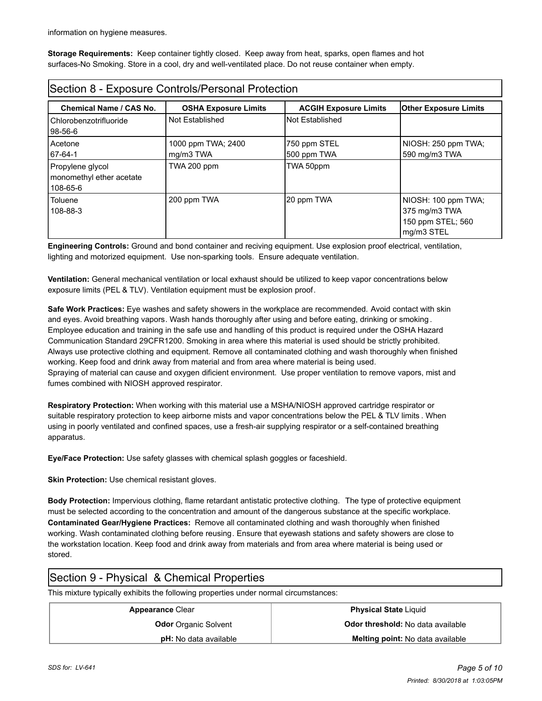information on hygiene measures.

**Storage Requirements:** Keep container tightly closed. Keep away from heat, sparks, open flames and hot surfaces-No Smoking. Store in a cool, dry and well-ventilated place. Do not reuse container when empty.

| Section 8 - Exposure Controls/Personal Protection        |                                 |                              |                                                                         |  |  |
|----------------------------------------------------------|---------------------------------|------------------------------|-------------------------------------------------------------------------|--|--|
| <b>Chemical Name / CAS No.</b>                           | <b>OSHA Exposure Limits</b>     | <b>ACGIH Exposure Limits</b> | <b>Other Exposure Limits</b>                                            |  |  |
| Chlorobenzotrifluoride<br>98-56-6                        | Not Established                 | <b>Not Established</b>       |                                                                         |  |  |
| Acetone<br>67-64-1                                       | 1000 ppm TWA; 2400<br>mg/m3 TWA | 750 ppm STEL<br>500 ppm TWA  | NIOSH: 250 ppm TWA;<br>590 mg/m3 TWA                                    |  |  |
| Propylene glycol<br>monomethyl ether acetate<br>108-65-6 | TWA 200 ppm                     | TWA 50ppm                    |                                                                         |  |  |
| Toluene<br>108-88-3                                      | 200 ppm TWA                     | 20 ppm TWA                   | NIOSH: 100 ppm TWA;<br>375 mg/m3 TWA<br>150 ppm STEL; 560<br>mg/m3 STEL |  |  |

**Engineering Controls:** Ground and bond container and reciving equipment. Use explosion proof electrical, ventilation, lighting and motorized equipment. Use non-sparking tools. Ensure adequate ventilation.

**Ventilation:** General mechanical ventilation or local exhaust should be utilized to keep vapor concentrations below exposure limits (PEL & TLV). Ventilation equipment must be explosion proof.

**Safe Work Practices:** Eye washes and safety showers in the workplace are recommended. Avoid contact with skin and eyes. Avoid breathing vapors. Wash hands thoroughly after using and before eating, drinking or smoking . Employee education and training in the safe use and handling of this product is required under the OSHA Hazard Communication Standard 29CFR1200. Smoking in area where this material is used should be strictly prohibited. Always use protective clothing and equipment. Remove all contaminated clothing and wash thoroughly when finished working. Keep food and drink away from material and from area where material is being used. Spraying of material can cause and oxygen dificient environment. Use proper ventilation to remove vapors, mist and fumes combined with NIOSH approved respirator.

**Respiratory Protection:** When working with this material use a MSHA/NIOSH approved cartridge respirator or suitable respiratory protection to keep airborne mists and vapor concentrations below the PEL & TLV limits . When using in poorly ventilated and confined spaces, use a fresh-air supplying respirator or a self-contained breathing apparatus.

**Eye/Face Protection:** Use safety glasses with chemical splash goggles or faceshield.

**Skin Protection:** Use chemical resistant gloves.

**Body Protection:** Impervious clothing, flame retardant antistatic protective clothing. The type of protective equipment must be selected according to the concentration and amount of the dangerous substance at the specific workplace. **Contaminated Gear/Hygiene Practices:** Remove all contaminated clothing and wash thoroughly when finished working. Wash contaminated clothing before reusing. Ensure that eyewash stations and safety showers are close to the workstation location. Keep food and drink away from materials and from area where material is being used or stored.

# Section 9 - Physical & Chemical Properties

This mixture typically exhibits the following properties under normal circumstances:

| <b>Appearance Clear</b>      | <b>Physical State Liquid</b>             |
|------------------------------|------------------------------------------|
| <b>Odor</b> Organic Solvent  | <b>Odor threshold:</b> No data available |
| <b>pH:</b> No data available | <b>Melting point:</b> No data available  |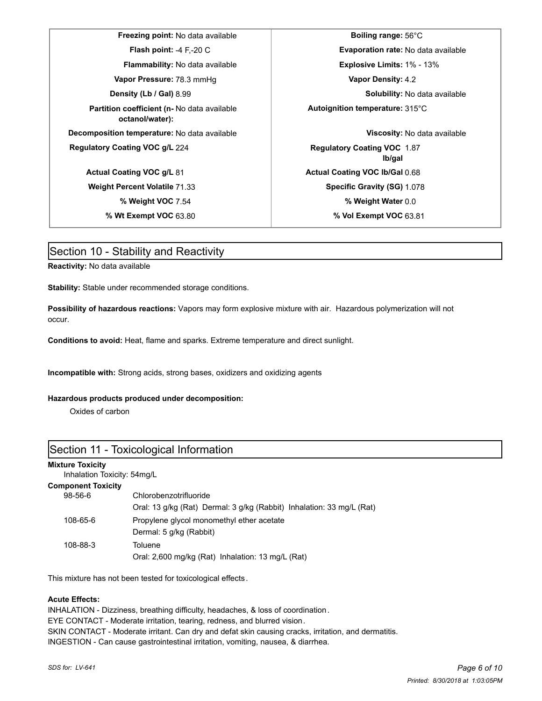**Freezing point:** No data available **Boiling range:** 56°C **Vapor Pressure:** 78.3 mmHg **Vapor Density:** 4.2 **Partition coefficient (n-** No data available **octanol/water): Decomposition temperature:** No data available **Viscosity:** No data available **Regulatory Coating VOC g/L 224 <b>Regulatory Coating VOC** 1.87 **Actual Coating VOC g/L 81 Actual Coating VOC lb/Gal** 0.68 **Weight Percent Volatile 71.33 <b>Specific Gravity (SG)** 1.078

**Flash point:** -4 F,-20 C **Evaporation rate:** No data available **Flammability:** No data available **Explosive Limits:** 1% - 13% **Density (Lb / Gal)** 8.99 **Solubility:** No data available **Autoignition temperature:** 315°C **lb/gal % Weight VOC** 7.54 **% Weight Water** 0.0 **% Wt Exempt VOC** 63.80 **% Vol Exempt VOC** 63.81

### Section 10 - Stability and Reactivity

**Reactivity:** No data available

**Stability:** Stable under recommended storage conditions.

**Possibility of hazardous reactions:** Vapors may form explosive mixture with air. Hazardous polymerization will not occur.

**Conditions to avoid:** Heat, flame and sparks. Extreme temperature and direct sunlight.

**Incompatible with:** Strong acids, strong bases, oxidizers and oxidizing agents

#### **Hazardous products produced under decomposition:**

Oxides of carbon

### Section 11 - Toxicological Information

#### **Mixture Toxicity**

Inhalation Toxicity: 54mg/L

#### **Component Toxicity**

| $98 - 56 - 6$ | Chlorobenzotrifluoride                                                |  |  |
|---------------|-----------------------------------------------------------------------|--|--|
|               | Oral: 13 g/kg (Rat) Dermal: 3 g/kg (Rabbit) Inhalation: 33 mg/L (Rat) |  |  |
| 108-65-6      | Propylene glycol monomethyl ether acetate<br>Dermal: 5 g/kg (Rabbit)  |  |  |
| 108-88-3      | Toluene<br>Oral: 2,600 mg/kg (Rat) Inhalation: 13 mg/L (Rat)          |  |  |

This mixture has not been tested for toxicological effects.

#### **Acute Effects:**

INHALATION - Dizziness, breathing difficulty, headaches, & loss of coordination. EYE CONTACT - Moderate irritation, tearing, redness, and blurred vision. SKIN CONTACT - Moderate irritant. Can dry and defat skin causing cracks, irritation, and dermatitis. INGESTION - Can cause gastrointestinal irritation, vomiting, nausea, & diarrhea.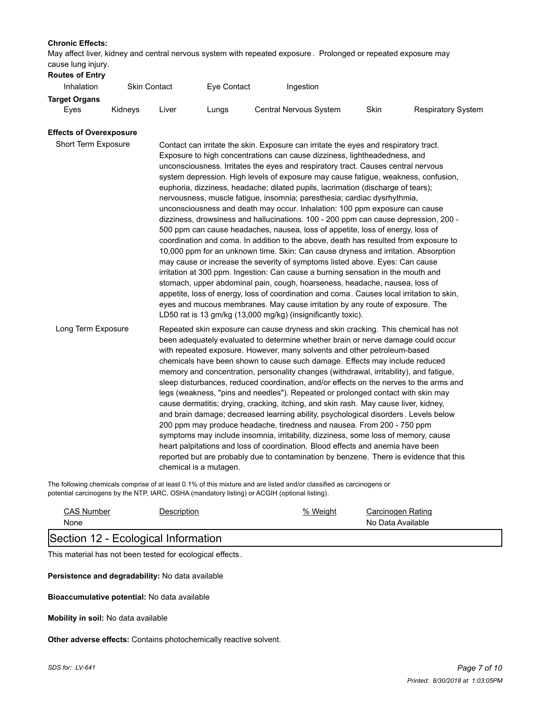#### **Chronic Effects:**

May affect liver, kidney and central nervous system with repeated exposure . Prolonged or repeated exposure may cause lung injury.

| $30400$ $10119$ $11101$<br><b>Routes of Entry</b> |         |                     |             |                        |      |                           |
|---------------------------------------------------|---------|---------------------|-------------|------------------------|------|---------------------------|
| <b>Inhalation</b>                                 |         | <b>Skin Contact</b> | Eye Contact | Ingestion              |      |                           |
| <b>Target Organs</b>                              |         |                     |             |                        |      |                           |
| Eves                                              | Kidnevs | ∟iver               | Lungs       | Central Nervous System | Skin | <b>Respiratory System</b> |

#### **Effects of Overexposure**

| Short Term Exposure | Contact can irritate the skin. Exposure can irritate the eyes and respiratory tract.<br>Exposure to high concentrations can cause dizziness, lightheadedness, and<br>unconsciousness. Irritates the eyes and respiratory tract. Causes central nervous<br>system depression. High levels of exposure may cause fatigue, weakness, confusion,<br>euphoria, dizziness, headache; dilated pupils, lacrimation (discharge of tears);<br>nervousness, muscle fatigue, insomnia; paresthesia; cardiac dysrhythmia,<br>unconsciousness and death may occur. Inhalation: 100 ppm exposure can cause<br>dizziness, drowsiness and hallucinations. 100 - 200 ppm can cause depression, 200 -<br>500 ppm can cause headaches, nausea, loss of appetite, loss of energy, loss of<br>coordination and coma. In addition to the above, death has resulted from exposure to<br>10,000 ppm for an unknown time. Skin: Can cause dryness and irritation. Absorption<br>may cause or increase the severity of symptoms listed above. Eyes: Can cause<br>irritation at 300 ppm. Ingestion: Can cause a burning sensation in the mouth and<br>stomach, upper abdominal pain, cough, hoarseness, headache, nausea, loss of<br>appetite, loss of energy, loss of coordination and coma. Causes local irritation to skin,<br>eyes and mucous membranes. May cause irritation by any route of exposure. The<br>LD50 rat is 13 gm/kg (13,000 mg/kg) (insignificantly toxic). |
|---------------------|-----------------------------------------------------------------------------------------------------------------------------------------------------------------------------------------------------------------------------------------------------------------------------------------------------------------------------------------------------------------------------------------------------------------------------------------------------------------------------------------------------------------------------------------------------------------------------------------------------------------------------------------------------------------------------------------------------------------------------------------------------------------------------------------------------------------------------------------------------------------------------------------------------------------------------------------------------------------------------------------------------------------------------------------------------------------------------------------------------------------------------------------------------------------------------------------------------------------------------------------------------------------------------------------------------------------------------------------------------------------------------------------------------------------------------------------------------|
| Long Term Exposure  | Repeated skin exposure can cause dryness and skin cracking. This chemical has not<br>been adequately evaluated to determine whether brain or nerve damage could occur<br>with repeated exposure. However, many solvents and other petroleum-based<br>chemicals have been shown to cause such damage. Effects may include reduced<br>memory and concentration, personality changes (withdrawal, irritability), and fatigue,<br>sleep disturbances, reduced coordination, and/or effects on the nerves to the arms and<br>legs (weakness, "pins and needles"). Repeated or prolonged contact with skin may<br>cause dermatitis; drying, cracking, itching, and skin rash. May cause liver, kidney,<br>and brain damage; decreased learning ability, psychological disorders. Levels below<br>200 ppm may produce headache, tiredness and nausea. From 200 - 750 ppm<br>symptoms may include insomnia, irritability, dizziness, some loss of memory, cause<br>heart palpitations and loss of coordination. Blood effects and anemia have been<br>reported but are probably due to contamination by benzene. There is evidence that this<br>chemical is a mutagen.                                                                                                                                                                                                                                                                                      |

The following chemicals comprise of at least 0.1% of this mixture and are listed and/or classified as carcinogens or potential carcinogens by the NTP, IARC, OSHA (mandatory listing) or ACGIH (optional listing).

| <b>CAS Number</b> | Description                         | % Weight          | Carcinogen Rating |  |
|-------------------|-------------------------------------|-------------------|-------------------|--|
| None              |                                     | No Data Available |                   |  |
|                   | Section 12 - Ecological Information |                   |                   |  |

# This material has not been tested for ecological effects.

**Persistence and degradability:** No data available

#### **Bioaccumulative potential:** No data available

**Mobility in soil:** No data available

**Other adverse effects:** Contains photochemically reactive solvent.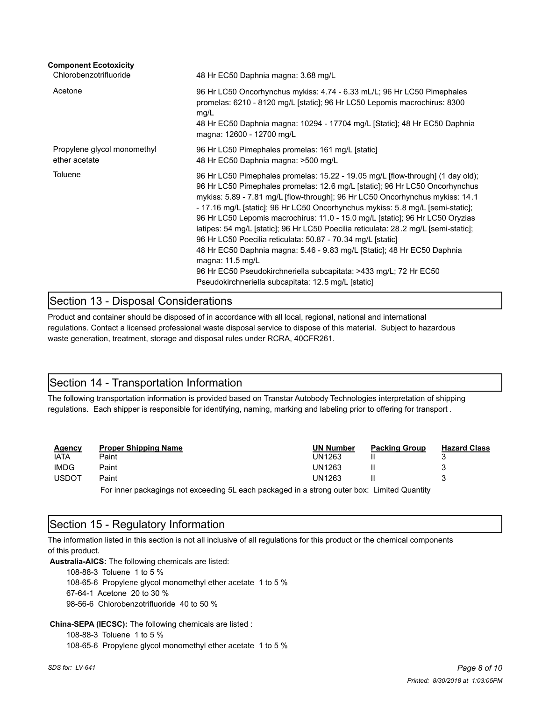| <b>Component Ecotoxicity</b><br>Chlorobenzotrifluoride | 48 Hr EC50 Daphnia magna: 3.68 mg/L                                                                                                                                                                                                                                                                                                                                                                                                                                                                                                                                                                                                                                                                                                                                                                |
|--------------------------------------------------------|----------------------------------------------------------------------------------------------------------------------------------------------------------------------------------------------------------------------------------------------------------------------------------------------------------------------------------------------------------------------------------------------------------------------------------------------------------------------------------------------------------------------------------------------------------------------------------------------------------------------------------------------------------------------------------------------------------------------------------------------------------------------------------------------------|
| Acetone                                                | 96 Hr LC50 Oncorhynchus mykiss: 4.74 - 6.33 mL/L; 96 Hr LC50 Pimephales<br>promelas: 6210 - 8120 mg/L [static]; 96 Hr LC50 Lepomis macrochirus: 8300<br>mg/L<br>48 Hr EC50 Daphnia magna: 10294 - 17704 mg/L [Static]; 48 Hr EC50 Daphnia<br>magna: 12600 - 12700 mg/L                                                                                                                                                                                                                                                                                                                                                                                                                                                                                                                             |
| Propylene glycol monomethyl<br>ether acetate           | 96 Hr LC50 Pimephales promelas: 161 mg/L [static]<br>48 Hr EC50 Daphnia magna: >500 mg/L                                                                                                                                                                                                                                                                                                                                                                                                                                                                                                                                                                                                                                                                                                           |
| Toluene                                                | 96 Hr LC50 Pimephales promelas: 15.22 - 19.05 mg/L [flow-through] (1 day old);<br>96 Hr LC50 Pimephales promelas: 12.6 mg/L [static]; 96 Hr LC50 Oncorhynchus<br>mykiss: 5.89 - 7.81 mg/L [flow-through]; 96 Hr LC50 Oncorhynchus mykiss: 14.1<br>- 17.16 mg/L [static]; 96 Hr LC50 Oncorhynchus mykiss: 5.8 mg/L [semi-static];<br>96 Hr LC50 Lepomis macrochirus: 11.0 - 15.0 mg/L [static]; 96 Hr LC50 Oryzias<br>latipes: 54 mg/L [static]; 96 Hr LC50 Poecilia reticulata: 28.2 mg/L [semi-static];<br>96 Hr LC50 Poecilia reticulata: 50.87 - 70.34 mg/L [static]<br>48 Hr EC50 Daphnia magna: 5.46 - 9.83 mg/L [Static]; 48 Hr EC50 Daphnia<br>magna: 11.5 mg/L<br>96 Hr EC50 Pseudokirchneriella subcapitata: >433 mg/L; 72 Hr EC50<br>Pseudokirchneriella subcapitata: 12.5 mg/L [static] |

# Section 13 - Disposal Considerations

Product and container should be disposed of in accordance with all local, regional, national and international regulations. Contact a licensed professional waste disposal service to dispose of this material. Subject to hazardous waste generation, treatment, storage and disposal rules under RCRA, 40CFR261.

# Section 14 - Transportation Information

The following transportation information is provided based on Transtar Autobody Technologies interpretation of shipping regulations. Each shipper is responsible for identifying, naming, marking and labeling prior to offering for transport .

| Agency       | <b>Proper Shipping Name</b>                                                                     | <b>UN Number</b> | <b>Packing Group</b> | <b>Hazard Class</b> |  |
|--------------|-------------------------------------------------------------------------------------------------|------------------|----------------------|---------------------|--|
| iata         | Paint                                                                                           | UN1263           |                      |                     |  |
| <b>IMDG</b>  | Paint                                                                                           | UN1263           |                      |                     |  |
| <b>USDOT</b> | Paint                                                                                           | UN1263           |                      |                     |  |
|              | Earlinger packagings not exceeding $F_1$ angle packaged in a strong outer how. Limited Quantity |                  |                      |                     |  |

For inner packagings not exceeding 5L each packaged in a strong outer box: Limited Quantity

### Section 15 - Regulatory Information

The information listed in this section is not all inclusive of all regulations for this product or the chemical components of this product.

**Australia-AICS:** The following chemicals are listed:

108-88-3 Toluene 1 to 5 %

108-65-6 Propylene glycol monomethyl ether acetate 1 to 5 %

67-64-1 Acetone 20 to 30 %

98-56-6 Chlorobenzotrifluoride 40 to 50 %

**China-SEPA (IECSC):** The following chemicals are listed :

108-88-3 Toluene 1 to 5 %

108-65-6 Propylene glycol monomethyl ether acetate 1 to 5 %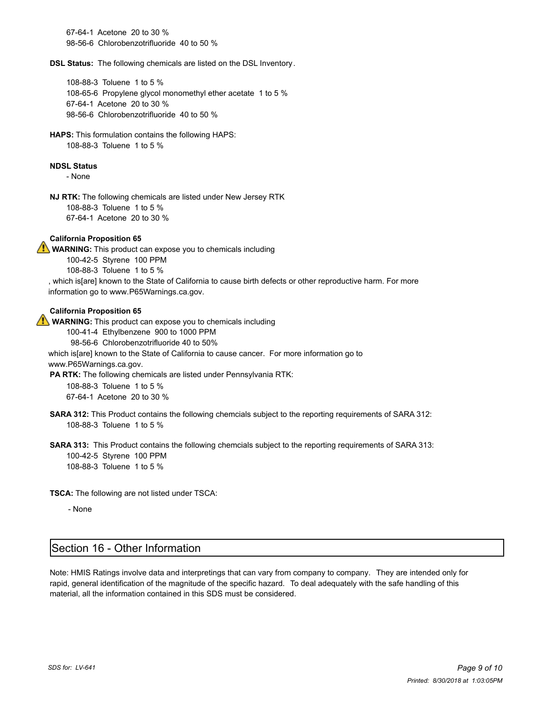67-64-1 Acetone 20 to 30 % 98-56-6 Chlorobenzotrifluoride 40 to 50 %

**DSL Status:** The following chemicals are listed on the DSL Inventory.

108-88-3 Toluene 1 to 5 % 108-65-6 Propylene glycol monomethyl ether acetate 1 to 5 % 67-64-1 Acetone 20 to 30 % 98-56-6 Chlorobenzotrifluoride 40 to 50 %

**HAPS:** This formulation contains the following HAPS: 108-88-3 Toluene 1 to 5 %

#### **NDSL Status**

- None

**NJ RTK:** The following chemicals are listed under New Jersey RTK 108-88-3 Toluene 1 to 5 % 67-64-1 Acetone 20 to 30 %

### **California Proposition 65**

**WARNING:** This product can expose you to chemicals including 100-42-5 Styrene 100 PPM 108-88-3 Toluene 1 to 5 % , which is[are] known to the State of California to cause birth defects or other reproductive harm. For more information go to www.P65Warnings.ca.gov.

#### **California Proposition 65**

**WARNING:** This product can expose you to chemicals including

100-41-4 Ethylbenzene 900 to 1000 PPM

98-56-6 Chlorobenzotrifluoride 40 to 50%

which is[are] known to the State of California to cause cancer. For more information go to www.P65Warnings.ca.gov.

**PA RTK:** The following chemicals are listed under Pennsylvania RTK: 108-88-3 Toluene 1 to 5 %

67-64-1 Acetone 20 to 30 %

**SARA 312:** This Product contains the following chemcials subject to the reporting requirements of SARA 312: 108-88-3 Toluene 1 to 5 %

**SARA 313:** This Product contains the following chemcials subject to the reporting requirements of SARA 313: 100-42-5 Styrene 100 PPM 108-88-3 Toluene 1 to 5 %

**TSCA:** The following are not listed under TSCA:

- None

### Section 16 - Other Information

Note: HMIS Ratings involve data and interpretings that can vary from company to company. They are intended only for rapid, general identification of the magnitude of the specific hazard. To deal adequately with the safe handling of this material, all the information contained in this SDS must be considered.